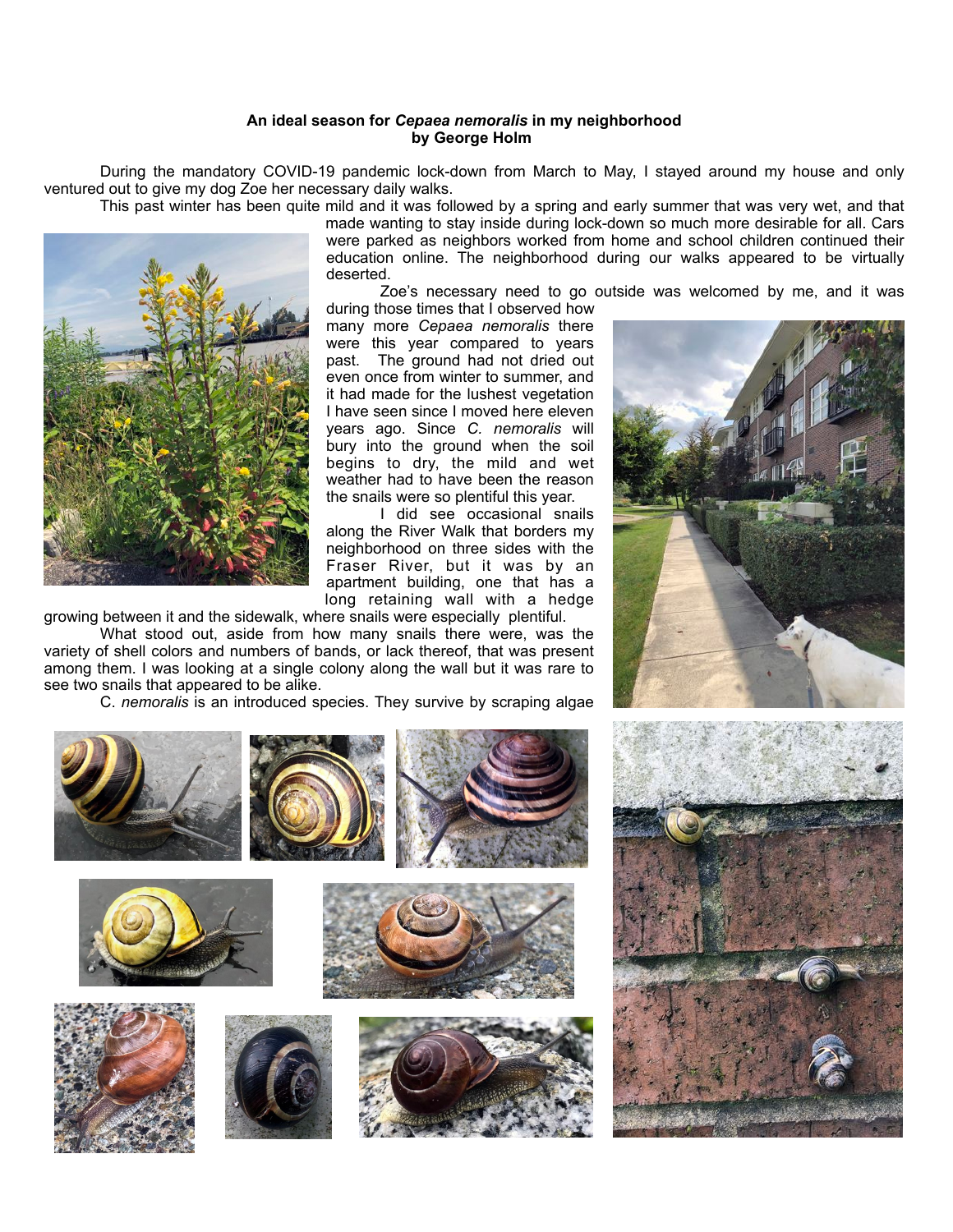## **An ideal season for** *Cepaea nemoralis* **in my neighborhood by George Holm**

 During the mandatory COVID-19 pandemic lock-down from March to May, I stayed around my house and only ventured out to give my dog Zoe her necessary daily walks.

This past winter has been quite mild and it was followed by a spring and early summer that was very wet, and that



made wanting to stay inside during lock-down so much more desirable for all. Cars were parked as neighbors worked from home and school children continued their education online. The neighborhood during our walks appeared to be virtually deserted.

Zoe's necessary need to go outside was welcomed by me, and it was

during those times that I observed how many more *Cepaea nemoralis* there were this year compared to years past. The ground had not dried out even once from winter to summer, and it had made for the lushest vegetation I have seen since I moved here eleven years ago. Since *C. nemoralis* will bury into the ground when the soil begins to dry, the mild and wet weather had to have been the reason the snails were so plentiful this year.

 I did see occasional snails along the River Walk that borders my neighborhood on three sides with the Fraser River, but it was by an apartment building, one that has a long retaining wall with a hedge

growing between it and the sidewalk, where snails were especially plentiful.

 What stood out, aside from how many snails there were, was the variety of shell colors and numbers of bands, or lack thereof, that was present among them. I was looking at a single colony along the wall but it was rare to see two snails that appeared to be alike.

C. *nemoralis* is an introduced species. They survive by scraping algae